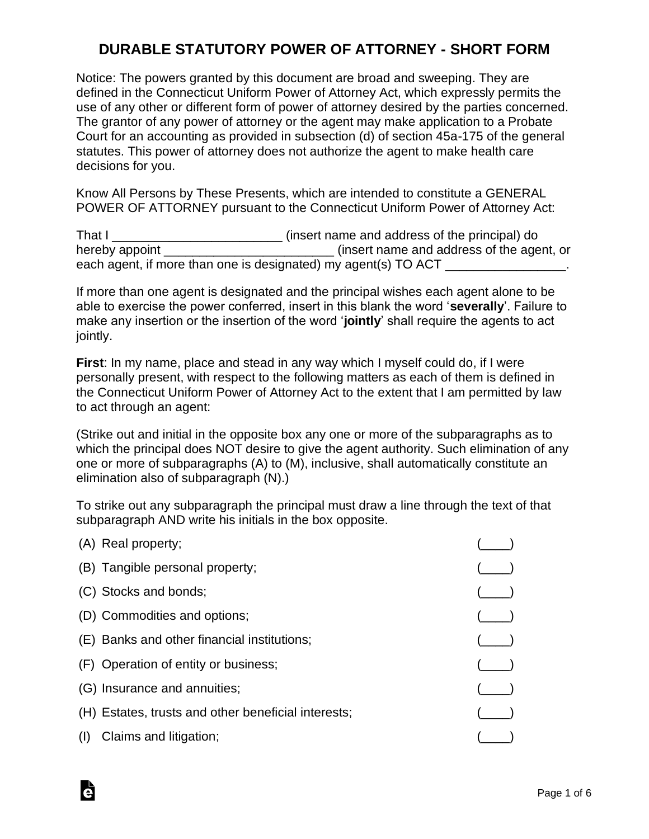# **DURABLE STATUTORY POWER OF ATTORNEY - SHORT FORM**

Notice: The powers granted by this document are broad and sweeping. They are defined in the Connecticut Uniform Power of Attorney Act, which expressly permits the use of any other or different form of power of attorney desired by the parties concerned. The grantor of any power of attorney or the agent may make application to a Probate Court for an accounting as provided in subsection (d) of section 45a-175 of the general statutes. This power of attorney does not authorize the agent to make health care decisions for you.

Know All Persons by These Presents, which are intended to constitute a GENERAL POWER OF ATTORNEY pursuant to the Connecticut Uniform Power of Attorney Act:

That I contract That I contract insert name and address of the principal) do hereby appoint **the contract of the agent** (insert name and address of the agent, or each agent, if more than one is designated) my agent(s) TO ACT

If more than one agent is designated and the principal wishes each agent alone to be able to exercise the power conferred, insert in this blank the word '**severally**'. Failure to make any insertion or the insertion of the word '**jointly**' shall require the agents to act jointly.

**First**: In my name, place and stead in any way which I myself could do, if I were personally present, with respect to the following matters as each of them is defined in the Connecticut Uniform Power of Attorney Act to the extent that I am permitted by law to act through an agent:

(Strike out and initial in the opposite box any one or more of the subparagraphs as to which the principal does NOT desire to give the agent authority. Such elimination of any one or more of subparagraphs (A) to (M), inclusive, shall automatically constitute an elimination also of subparagraph (N).)

To strike out any subparagraph the principal must draw a line through the text of that subparagraph AND write his initials in the box opposite.

| (A) Real property;                                  |  |
|-----------------------------------------------------|--|
| (B) Tangible personal property;                     |  |
| (C) Stocks and bonds;                               |  |
| (D) Commodities and options;                        |  |
| (E) Banks and other financial institutions;         |  |
| (F) Operation of entity or business;                |  |
| (G) Insurance and annuities;                        |  |
| (H) Estates, trusts and other beneficial interests; |  |
| Claims and litigation;                              |  |

Ġ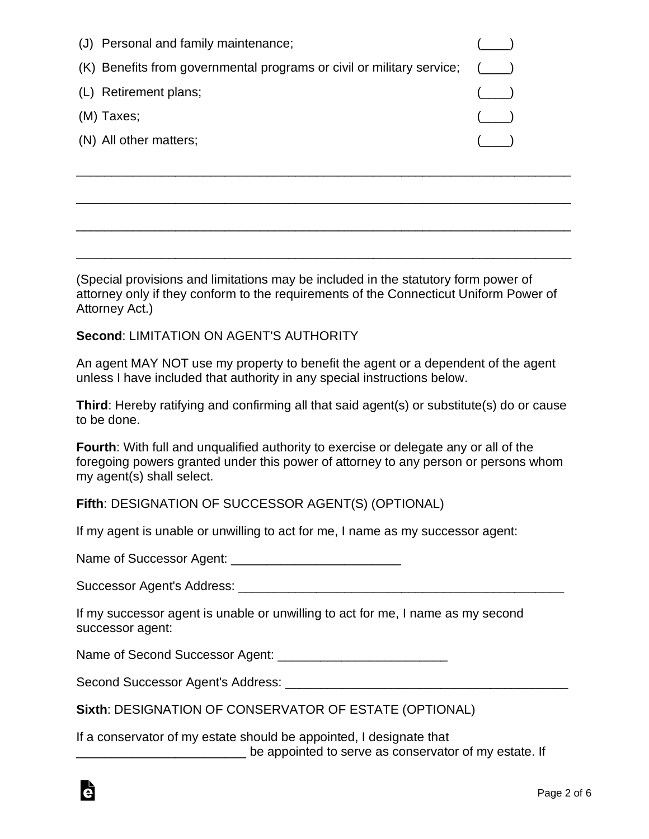| (J) Personal and family maintenance;                                        |         |
|-----------------------------------------------------------------------------|---------|
| $(K)$ Benefits from governmental programs or civil or military service; $($ |         |
| (L) Retirement plans;                                                       | $($ $)$ |
| (M) Taxes;                                                                  |         |
| (N) All other matters;                                                      |         |

(Special provisions and limitations may be included in the statutory form power of attorney only if they conform to the requirements of the Connecticut Uniform Power of Attorney Act.)

\_\_\_\_\_\_\_\_\_\_\_\_\_\_\_\_\_\_\_\_\_\_\_\_\_\_\_\_\_\_\_\_\_\_\_\_\_\_\_\_\_\_\_\_\_\_\_\_\_\_\_\_\_\_\_\_\_\_\_\_\_\_\_\_\_\_\_\_\_\_

\_\_\_\_\_\_\_\_\_\_\_\_\_\_\_\_\_\_\_\_\_\_\_\_\_\_\_\_\_\_\_\_\_\_\_\_\_\_\_\_\_\_\_\_\_\_\_\_\_\_\_\_\_\_\_\_\_\_\_\_\_\_\_\_\_\_\_\_\_\_

\_\_\_\_\_\_\_\_\_\_\_\_\_\_\_\_\_\_\_\_\_\_\_\_\_\_\_\_\_\_\_\_\_\_\_\_\_\_\_\_\_\_\_\_\_\_\_\_\_\_\_\_\_\_\_\_\_\_\_\_\_\_\_\_\_\_\_\_\_\_

\_\_\_\_\_\_\_\_\_\_\_\_\_\_\_\_\_\_\_\_\_\_\_\_\_\_\_\_\_\_\_\_\_\_\_\_\_\_\_\_\_\_\_\_\_\_\_\_\_\_\_\_\_\_\_\_\_\_\_\_\_\_\_\_\_\_\_\_\_\_

## **Second**: LIMITATION ON AGENT'S AUTHORITY

An agent MAY NOT use my property to benefit the agent or a dependent of the agent unless I have included that authority in any special instructions below.

**Third**: Hereby ratifying and confirming all that said agent(s) or substitute(s) do or cause to be done.

**Fourth**: With full and unqualified authority to exercise or delegate any or all of the foregoing powers granted under this power of attorney to any person or persons whom my agent(s) shall select.

## **Fifth**: DESIGNATION OF SUCCESSOR AGENT(S) (OPTIONAL)

If my agent is unable or unwilling to act for me, I name as my successor agent:

Name of Successor Agent: \_\_\_\_\_\_\_\_\_\_\_\_\_\_\_\_\_\_\_\_\_\_\_\_

Successor Agent's Address: **Example 2018** 

If my successor agent is unable or unwilling to act for me, I name as my second successor agent:

Name of Second Successor Agent: \_\_\_\_\_\_\_\_\_\_\_\_\_\_\_\_\_\_\_\_\_\_\_\_

Second Successor Agent's Address:

**Sixth**: DESIGNATION OF CONSERVATOR OF ESTATE (OPTIONAL)

If a conservator of my estate should be appointed, I designate that **EXECUTE:** The appointed to serve as conservator of my estate. If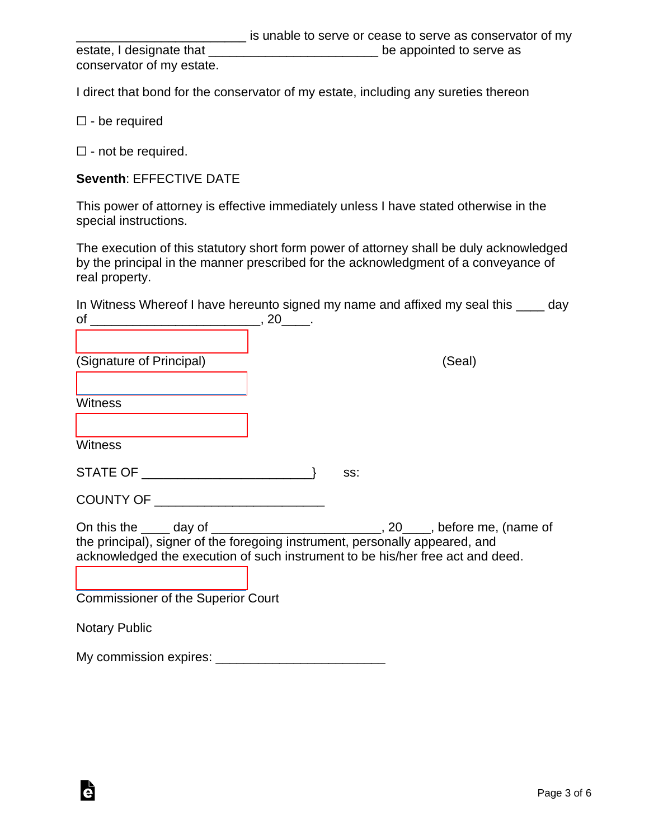|                           | is unable to serve or cease to serve as conservator of my |
|---------------------------|-----------------------------------------------------------|
| estate, I designate that  | be appointed to serve as                                  |
| conservator of my estate. |                                                           |

I direct that bond for the conservator of my estate, including any sureties thereon

☐ - be required

 $\Box$  - not be required.

#### **Seventh**: EFFECTIVE DATE

This power of attorney is effective immediately unless I have stated otherwise in the special instructions.

The execution of this statutory short form power of attorney shall be duly acknowledged by the principal in the manner prescribed for the acknowledgment of a conveyance of real property.

|    | In Witness Whereof I have hereunto signed my name and affixed my seal this | day |
|----|----------------------------------------------------------------------------|-----|
| οf |                                                                            |     |

[\\_\\_\\_\\_\\_\\_\\_\\_\\_\\_\\_\\_\\_\\_\\_\\_\\_\\_\\_\\_\\_\\_\\_\\_](https://esign.com) (Signature of Principal) (Seal)

[\\_\\_\\_\\_\\_\\_\\_\\_\\_\\_\\_\\_\\_\\_\\_\\_\\_\\_\\_\\_\\_\\_\\_\\_](https://esign.com)

**Witness** 

**Witness** 

STATE OF \_\_\_\_\_\_\_\_\_\_\_\_\_\_\_\_\_\_\_\_\_\_\_\_} ss:

COUNTY OF \_\_\_\_\_\_\_\_\_\_\_\_\_\_\_\_\_\_\_\_\_\_\_\_

On this the day of the case of the contract of the contract of the contract of the contract of the contract of the contract of the contract of the contract of the contract of the contract of the contract of the contract of the principal), signer of the foregoing instrument, personally appeared, and acknowledged the execution of such instrument to be his/her free act and deed.

[\\_\\_\\_\\_\\_\\_\\_\\_\\_\\_\\_\\_\\_\\_\\_\\_\\_\\_\\_\\_\\_\\_\\_\\_](https://esign.com) Commissioner of the Superior Court

Notary Public

Ġ

My commission expires: \_\_\_\_\_\_\_\_\_\_\_\_\_\_\_\_\_\_\_\_\_\_\_\_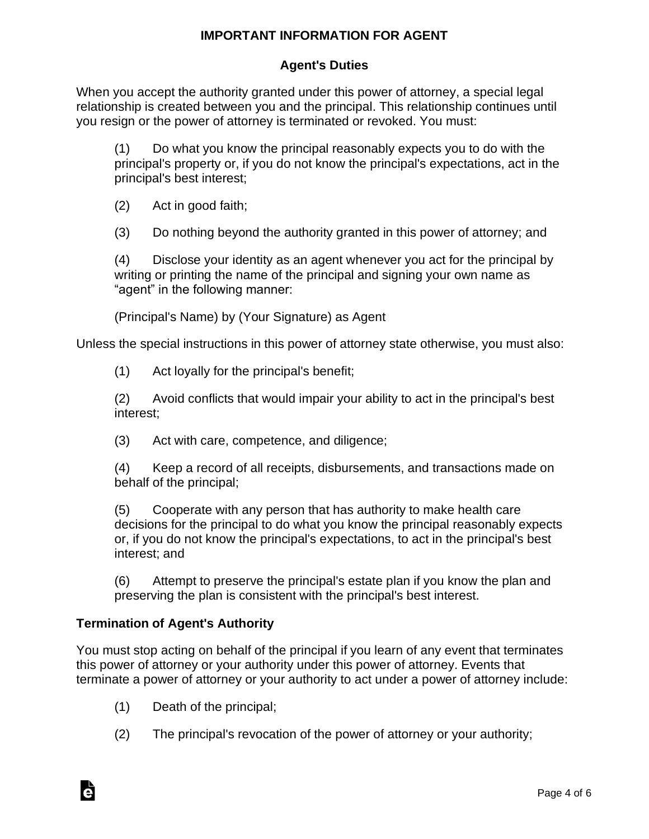## **IMPORTANT INFORMATION FOR AGENT**

## **Agent's Duties**

When you accept the authority granted under this power of attorney, a special legal relationship is created between you and the principal. This relationship continues until you resign or the power of attorney is terminated or revoked. You must:

(1) Do what you know the principal reasonably expects you to do with the principal's property or, if you do not know the principal's expectations, act in the principal's best interest;

(2) Act in good faith;

(3) Do nothing beyond the authority granted in this power of attorney; and

(4) Disclose your identity as an agent whenever you act for the principal by writing or printing the name of the principal and signing your own name as "agent" in the following manner:

(Principal's Name) by (Your Signature) as Agent

Unless the special instructions in this power of attorney state otherwise, you must also:

(1) Act loyally for the principal's benefit;

(2) Avoid conflicts that would impair your ability to act in the principal's best interest;

(3) Act with care, competence, and diligence;

(4) Keep a record of all receipts, disbursements, and transactions made on behalf of the principal;

(5) Cooperate with any person that has authority to make health care decisions for the principal to do what you know the principal reasonably expects or, if you do not know the principal's expectations, to act in the principal's best interest; and

(6) Attempt to preserve the principal's estate plan if you know the plan and preserving the plan is consistent with the principal's best interest.

## **Termination of Agent's Authority**

Ġ

You must stop acting on behalf of the principal if you learn of any event that terminates this power of attorney or your authority under this power of attorney. Events that terminate a power of attorney or your authority to act under a power of attorney include:

- (1) Death of the principal;
- (2) The principal's revocation of the power of attorney or your authority;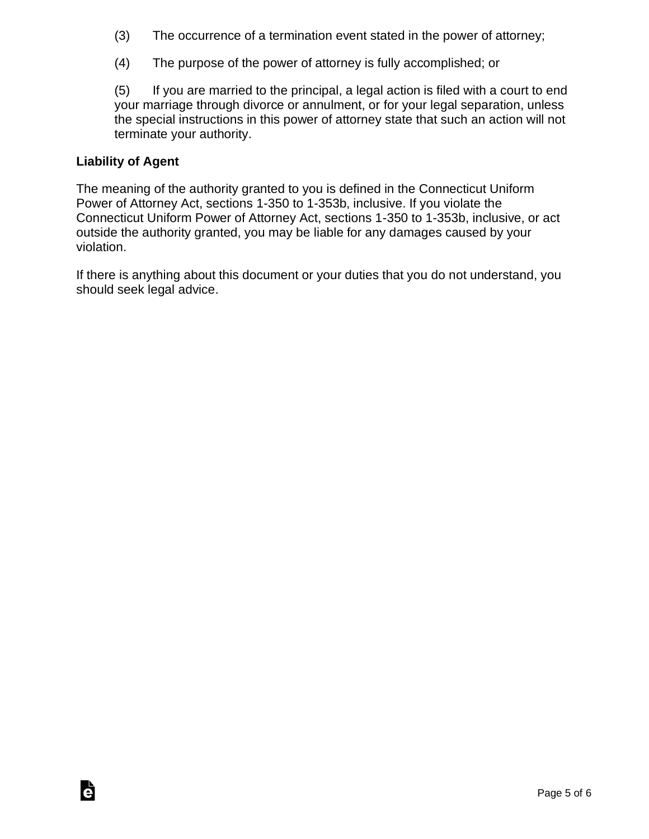- (3) The occurrence of a termination event stated in the power of attorney;
- (4) The purpose of the power of attorney is fully accomplished; or

(5) If you are married to the principal, a legal action is filed with a court to end your marriage through divorce or annulment, or for your legal separation, unless the special instructions in this power of attorney state that such an action will not terminate your authority.

## **Liability of Agent**

The meaning of the authority granted to you is defined in the Connecticut Uniform Power of Attorney Act, sections 1-350 to 1-353b, inclusive. If you violate the Connecticut Uniform Power of Attorney Act, sections 1-350 to 1-353b, inclusive, or act outside the authority granted, you may be liable for any damages caused by your violation.

If there is anything about this document or your duties that you do not understand, you should seek legal advice.